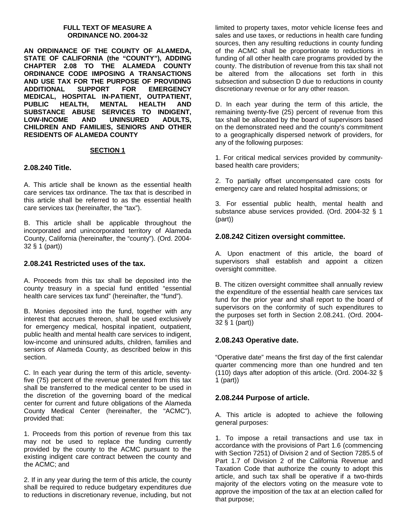#### **FULL TEXT OF MEASURE A ORDINANCE NO. 2004-32**

**AN ORDINANCE OF THE COUNTY OF ALAMEDA, STATE OF CALIFORNIA (the "COUNTY"), ADDING CHAPTER 2.08 TO THE ALAMEDA COUNTY ORDINANCE CODE IMPOSING A TRANSACTIONS AND USE TAX FOR THE PURPOSE OF PROVIDING ADDITIONAL SUPPORT FOR EMERGENCY MEDICAL, HOSPITAL IN-PATIENT, OUTPATIENT, PUBLIC HEALTH, MENTAL HEALTH AND SUBSTANCE ABUSE SERVICES TO INDIGENT, LOW-INCOME AND UNINSURED ADULTS, CHILDREN AND FAMILIES, SENIORS AND OTHER RESIDENTS OF ALAMEDA COUNTY** 

#### **SECTION 1**

#### **2.08.240 Title.**

A. This article shall be known as the essential health care services tax ordinance. The tax that is described in this article shall be referred to as the essential health care services tax (hereinafter, the "tax").

B. This article shall be applicable throughout the incorporated and unincorporated territory of Alameda County, California (hereinafter, the "county"). (Ord. 2004- 32 § 1 (part))

#### **2.08.241 Restricted uses of the tax.**

A. Proceeds from this tax shall be deposited into the county treasury in a special fund entitled "essential health care services tax fund" (hereinafter, the "fund").

B. Monies deposited into the fund, together with any interest that accrues thereon, shall be used exclusively for emergency medical, hospital inpatient, outpatient, public health and mental health care services to indigent, low-income and uninsured adults, children, families and seniors of Alameda County, as described below in this section.

C. In each year during the term of this article, seventyfive (75) percent of the revenue generated from this tax shall be transferred to the medical center to be used in the discretion of the governing board of the medical center for current and future obligations of the Alameda County Medical Center (hereinafter, the "ACMC"), provided that:

1. Proceeds from this portion of revenue from this tax may not be used to replace the funding currently provided by the county to the ACMC pursuant to the existing indigent care contract between the county and the ACMC; and

2. If in any year during the term of this article, the county shall be required to reduce budgetary expenditures due to reductions in discretionary revenue, including, but not limited to property taxes, motor vehicle license fees and sales and use taxes, or reductions in health care funding sources, then any resulting reductions in county funding of the ACMC shall be proportionate to reductions in funding of all other health care programs provided by the county. The distribution of revenue from this tax shall not be altered from the allocations set forth in this subsection and subsection D due to reductions in county discretionary revenue or for any other reason.

D. In each year during the term of this article, the remaining twenty-five (25) percent of revenue from this tax shall be allocated by the board of supervisors based on the demonstrated need and the county's commitment to a geographically dispersed network of providers, for any of the following purposes:

1. For critical medical services provided by communitybased health care providers;

2. To partially offset uncompensated care costs for emergency care and related hospital admissions; or

3. For essential public health, mental health and substance abuse services provided. (Ord. 2004-32 § 1 (part))

#### **2.08.242 Citizen oversight committee.**

A. Upon enactment of this article, the board of supervisors shall establish and appoint a citizen oversight committee.

B. The citizen oversight committee shall annually review the expenditure of the essential health care services tax fund for the prior year and shall report to the board of supervisors on the conformity of such expenditures to the purposes set forth in Section 2.08.241. (Ord. 2004- 32 § 1 (part))

#### **2.08.243 Operative date.**

"Operative date" means the first day of the first calendar quarter commencing more than one hundred and ten (110) days after adoption of this article. (Ord. 2004-32 § 1 (part))

#### **2.08.244 Purpose of article.**

A. This article is adopted to achieve the following general purposes:

1. To impose a retail transactions and use tax in accordance with the provisions of Part 1.6 (commencing with Section 7251) of Division 2 and of Section 7285.5 of Part 1.7 of Division 2 of the California Revenue and Taxation Code that authorize the county to adopt this article, and such tax shall be operative if a two-thirds majority of the electors voting on the measure vote to approve the imposition of the tax at an election called for that purpose;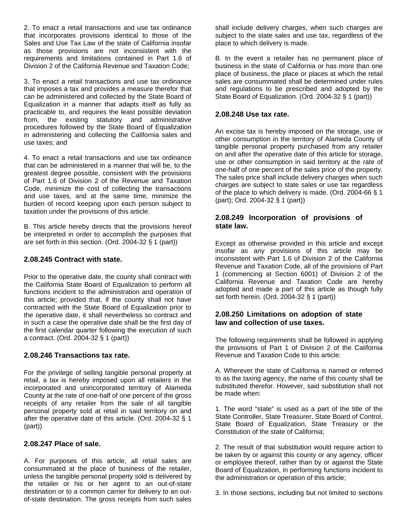2. To enact a retail transactions and use tax ordinance that incorporates provisions identical to those of the Sales and Use Tax Law of the state of California insofar as those provisions are not inconsistent with the requirements and limitations contained in Part 1.6 of Division 2 of the California Revenue and Taxation Code;

3. To enact a retail transactions and use tax ordinance that imposes a tax and provides a measure therefor that can be administered and collected by the State Board of Equalization in a manner that adapts itself as fully as practicable to, and requires the least possible deviation from, the existing statutory and administrative procedures followed by the State Board of Equalization in administering and collecting the California sales and use taxes; and

4. To enact a retail transactions and use tax ordinance that can be administered in a manner that will be, to the greatest degree possible, consistent with the provisions of Part 1.6 of Division 2 of the Revenue and Taxation Code, minimize the cost of collecting the transactions and use taxes, and at the same time, minimize the burden of record keeping upon each person subject to taxation under the provisions of this article.

B. This article hereby directs that the provisions hereof be interpreted in order to accomplish the purposes that are set forth in this section. (Ord. 2004-32 § 1 (part))

#### **2.08.245 Contract with state.**

Prior to the operative date, the county shall contract with the California State Board of Equalization to perform all functions incident to the administration and operation of this article; provided that, if the county shall not have contracted with the State Board of Equalization prior to the operative date, it shall nevertheless so contract and in such a case the operative date shall be the first day of the first calendar quarter following the execution of such a contract. (Ord. 2004-32 § 1 (part))

#### **2.08.246 Transactions tax rate.**

For the privilege of selling tangible personal property at retail, a tax is hereby imposed upon all retailers in the incorporated and unincorporated territory of Alameda County at the rate of one-half of one percent of the gross receipts of any retailer from the sale of all tangible personal property sold at retail in said territory on and after the operative date of this article. (Ord. 2004-32 § 1 (part))

#### **2.08.247 Place of sale.**

A. For purposes of this article, all retail sales are consummated at the place of business of the retailer, unless the tangible personal property sold is delivered by the retailer or his or her agent to an out-of-state destination or to a common carrier for delivery to an outof-state destination. The gross receipts from such sales

shall include delivery charges, when such charges are subject to the state sales and use tax, regardless of the place to which delivery is made.

B. In the event a retailer has no permanent place of business in the state of California or has more than one place of business, the place or places at which the retail sales are consummated shall be determined under rules and regulations to be prescribed and adopted by the State Board of Equalization. (Ord. 2004-32 § 1 (part))

#### **2.08.248 Use tax rate.**

An excise tax is hereby imposed on the storage, use or other consumption in the territory of Alameda County of tangible personal property purchased from any retailer on and after the operative date of this article for storage, use or other consumption in said territory at the rate of one-half of one percent of the sales price of the property. The sales price shall include delivery charges when such charges are subject to state sales or use tax regardless of the place to which delivery is made. (Ord. 2004-66 § 1 (part); Ord. 2004-32 § 1 (part))

#### **2.08.249 Incorporation of provisions of state law.**

Except as otherwise provided in this article and except insofar as any provisions of this article may be inconsistent with Part 1.6 of Division 2 of the California Revenue and Taxation Code, all of the provisions of Part 1 (commencing at Section 6001) of Division 2 of the California Revenue and Taxation Code are hereby adopted and made a part of this article as though fully set forth herein. (Ord. 2004-32 § 1 (part))

### **2.08.250 Limitations on adoption of state law and collection of use taxes.**

The following requirements shall be followed in applying the provisions of Part 1 of Division 2 of the California Revenue and Taxation Code to this article:

A. Wherever the state of California is named or referred to as the taxing agency, the name of this county shall be substituted therefor. However, said substitution shall not be made when:

1. The word "state" is used as a part of the title of the State Controller, State Treasurer, State Board of Control, State Board of Equalization, State Treasury or the Constitution of the state of California;

2. The result of that substitution would require action to be taken by or against this county or any agency, officer or employee thereof, rather than by or against the State Board of Equalization, in performing functions incident to the administration or operation of this article;

3. In those sections, including but not limited to sections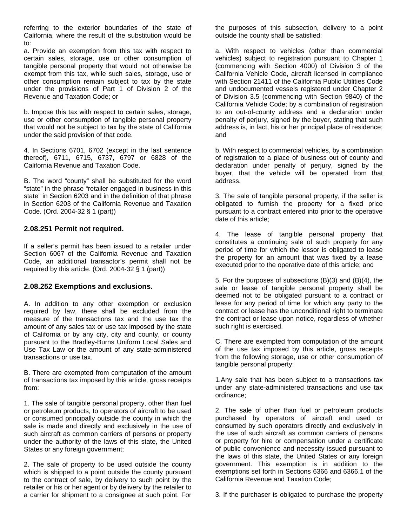referring to the exterior boundaries of the state of California, where the result of the substitution would be to:

a. Provide an exemption from this tax with respect to certain sales, storage, use or other consumption of tangible personal property that would not otherwise be exempt from this tax, while such sales, storage, use or other consumption remain subject to tax by the state under the provisions of Part 1 of Division 2 of the Revenue and Taxation Code; or

b. Impose this tax with respect to certain sales, storage, use or other consumption of tangible personal property that would not be subject to tax by the state of California under the said provision of that code.

4. In Sections 6701, 6702 (except in the last sentence thereof), 6711, 6715, 6737, 6797 or 6828 of the California Revenue and Taxation Code.

B. The word "county" shall be substituted for the word "state" in the phrase "retailer engaged in business in this state" in Section 6203 and in the definition of that phrase in Section 6203 of the California Revenue and Taxation Code. (Ord. 2004-32 § 1 (part))

#### **2.08.251 Permit not required.**

If a seller's permit has been issued to a retailer under Section 6067 of the California Revenue and Taxation Code, an additional transactor's permit shall not be required by this article. (Ord. 2004-32 § 1 (part))

#### **2.08.252 Exemptions and exclusions.**

A. In addition to any other exemption or exclusion required by law, there shall be excluded from the measure of the transactions tax and the use tax the amount of any sales tax or use tax imposed by the state of California or by any city, city and county, or county pursuant to the Bradley-Burns Uniform Local Sales and Use Tax Law or the amount of any state-administered transactions or use tax.

B. There are exempted from computation of the amount of transactions tax imposed by this article, gross receipts from:

1. The sale of tangible personal property, other than fuel or petroleum products, to operators of aircraft to be used or consumed principally outside the county in which the sale is made and directly and exclusively in the use of such aircraft as common carriers of persons or property under the authority of the laws of this state, the United States or any foreign government;

2. The sale of property to be used outside the county which is shipped to a point outside the county pursuant to the contract of sale, by delivery to such point by the retailer or his or her agent or by delivery by the retailer to a carrier for shipment to a consignee at such point. For

the purposes of this subsection, delivery to a point outside the county shall be satisfied:

a. With respect to vehicles (other than commercial vehicles) subject to registration pursuant to Chapter 1 (commencing with Section 4000) of Division 3 of the California Vehicle Code, aircraft licensed in compliance with Section 21411 of the California Public Utilities Code and undocumented vessels registered under Chapter 2 of Division 3.5 (commencing with Section 9840) of the California Vehicle Code; by a combination of registration to an out-of-county address and a declaration under penalty of perjury, signed by the buyer, stating that such address is, in fact, his or her principal place of residence; and

b. With respect to commercial vehicles, by a combination of registration to a place of business out of county and declaration under penalty of perjury, signed by the buyer, that the vehicle will be operated from that address.

3. The sale of tangible personal property, if the seller is obligated to furnish the property for a fixed price pursuant to a contract entered into prior to the operative date of this article;

4. The lease of tangible personal property that constitutes a continuing sale of such property for any period of time for which the lessor is obligated to lease the property for an amount that was fixed by a lease executed prior to the operative date of this article; and

5. For the purposes of subsections (B)(3) and (B)(4), the sale or lease of tangible personal property shall be deemed not to be obligated pursuant to a contract or lease for any period of time for which any party to the contract or lease has the unconditional right to terminate the contract or lease upon notice, regardless of whether such right is exercised.

C. There are exempted from computation of the amount of the use tax imposed by this article, gross receipts from the following storage, use or other consumption of tangible personal property:

1.Any sale that has been subject to a transactions tax under any state-administered transactions and use tax ordinance;

2. The sale of other than fuel or petroleum products purchased by operators of aircraft and used or consumed by such operators directly and exclusively in the use of such aircraft as common carriers of persons or property for hire or compensation under a certificate of public convenience and necessity issued pursuant to the laws of this state, the United States or any foreign government. This exemption is in addition to the exemptions set forth in Sections 6366 and 6366.1 of the California Revenue and Taxation Code;

3. If the purchaser is obligated to purchase the property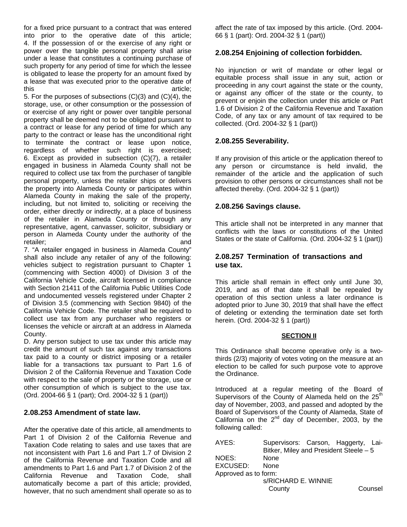for a fixed price pursuant to a contract that was entered into prior to the operative date of this article; 4. If the possession of or the exercise of any right or power over the tangible personal property shall arise under a lease that constitutes a continuing purchase of such property for any period of time for which the lessee is obligated to lease the property for an amount fixed by a lease that was executed prior to the operative date of this article;

5. For the purposes of subsections (C)(3) and (C)(4), the storage, use, or other consumption or the possession of or exercise of any right or power over tangible personal property shall be deemed not to be obligated pursuant to a contract or lease for any period of time for which any party to the contract or lease has the unconditional right to terminate the contract or lease upon notice, regardless of whether such right is exercised; 6. Except as provided in subsection (C)(7), a retailer engaged in business in Alameda County shall not be required to collect use tax from the purchaser of tangible personal property, unless the retailer ships or delivers the property into Alameda County or participates within Alameda County in making the sale of the property, including, but not limited to, soliciting or receiving the order, either directly or indirectly, at a place of business of the retailer in Alameda County or through any representative, agent, canvasser, solicitor, subsidiary or person in Alameda County under the authority of the retailer; and and a state of the state of the state of the state of the state of the state of the state of the state of the state of the state of the state of the state of the state of the state of the state of the state o

7. "A retailer engaged in business in Alameda County" shall also include any retailer of any of the following: vehicles subject to registration pursuant to Chapter 1 (commencing with Section 4000) of Division 3 of the California Vehicle Code, aircraft licensed in compliance with Section 21411 of the California Public Utilities Code and undocumented vessels registered under Chapter 2 of Division 3.5 (commencing with Section 9840) of the California Vehicle Code. The retailer shall be required to collect use tax from any purchaser who registers or licenses the vehicle or aircraft at an address in Alameda County.

D. Any person subject to use tax under this article may credit the amount of such tax against any transactions tax paid to a county or district imposing or a retailer liable for a transactions tax pursuant to Part 1.6 of Division 2 of the California Revenue and Taxation Code with respect to the sale of property or the storage, use or other consumption of which is subject to the use tax. (Ord. 2004-66 § 1 (part); Ord. 2004-32 § 1 (part))

#### **2.08.253 Amendment of state law.**

After the operative date of this article, all amendments to Part 1 of Division 2 of the California Revenue and Taxation Code relating to sales and use taxes that are not inconsistent with Part 1.6 and Part 1.7 of Division 2 of the California Revenue and Taxation Code and all amendments to Part 1.6 and Part 1.7 of Division 2 of the California Revenue and Taxation Code, shall automatically become a part of this article; provided, however, that no such amendment shall operate so as to

affect the rate of tax imposed by this article. (Ord. 2004- 66 § 1 (part): Ord. 2004-32 § 1 (part))

# **2.08.254 Enjoining of collection forbidden.**

No injunction or writ of mandate or other legal or equitable process shall issue in any suit, action or proceeding in any court against the state or the county, or against any officer of the state or the county, to prevent or enjoin the collection under this article or Part 1.6 of Division 2 of the California Revenue and Taxation Code, of any tax or any amount of tax required to be collected. (Ord. 2004-32 § 1 (part))

## **2.08.255 Severability.**

If any provision of this article or the application thereof to any person or circumstance is held invalid, the remainder of the article and the application of such provision to other persons or circumstances shall not be affected thereby. (Ord. 2004-32 § 1 (part))

### **2.08.256 Savings clause.**

This article shall not be interpreted in any manner that conflicts with the laws or constitutions of the United States or the state of California. (Ord. 2004-32 § 1 (part))

### **2.08.257 Termination of transactions and use tax.**

This article shall remain in effect only until June 30, 2019, and as of that date it shall be repealed by operation of this section unless a later ordinance is adopted prior to June 30, 2019 that shall have the effect of deleting or extending the termination date set forth herein. (Ord. 2004-32 § 1 (part))

#### **SECTION II**

This Ordinance shall become operative only is a twothirds (2/3) majority of votes voting on the measure at an election to be called for such purpose vote to approve the Ordinance.

Introduced at a regular meeting of the Board of Supervisors of the County of Alameda held on the  $25<sup>th</sup>$ day of November, 2003, and passed and adopted by the Board of Supervisors of the County of Alameda, State of California on the  $2^{nd}$  day of December, 2003, by the following called:

AYES: Supervisors: Carson, Haggerty, Lai-Bitker, Miley and President Steele – 5 NOES: None EXCUSED: None Approved as to form: s/RICHARD E. WINNIE County Counsel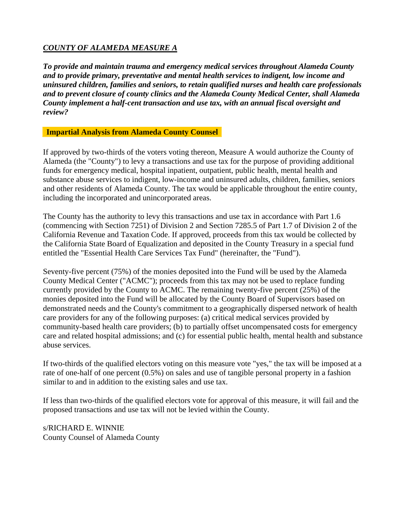# *COUNTY OF ALAMEDA MEASURE A*

*To provide and maintain trauma and emergency medical services throughout Alameda County and to provide primary, preventative and mental health services to indigent, low income and uninsured children, families and seniors, to retain qualified nurses and health care professionals and to prevent closure of county clinics and the Alameda County Medical Center, shall Alameda County implement a half-cent transaction and use tax, with an annual fiscal oversight and review?*

**Impartial Analysis from Alameda County Counsel**

If approved by two-thirds of the voters voting thereon, Measure A would authorize the County of Alameda (the "County") to levy a transactions and use tax for the purpose of providing additional funds for emergency medical, hospital inpatient, outpatient, public health, mental health and substance abuse services to indigent, low-income and uninsured adults, children, families, seniors and other residents of Alameda County. The tax would be applicable throughout the entire county, including the incorporated and unincorporated areas.

The County has the authority to levy this transactions and use tax in accordance with Part 1.6 (commencing with Section 7251) of Division 2 and Section 7285.5 of Part 1.7 of Division 2 of the California Revenue and Taxation Code. If approved, proceeds from this tax would be collected by the California State Board of Equalization and deposited in the County Treasury in a special fund entitled the "Essential Health Care Services Tax Fund" (hereinafter, the "Fund").

Seventy-five percent (75%) of the monies deposited into the Fund will be used by the Alameda County Medical Center ("ACMC"); proceeds from this tax may not be used to replace funding currently provided by the County to ACMC. The remaining twenty-five percent (25%) of the monies deposited into the Fund will be allocated by the County Board of Supervisors based on demonstrated needs and the County's commitment to a geographically dispersed network of health care providers for any of the following purposes: (a) critical medical services provided by community-based health care providers; (b) to partially offset uncompensated costs for emergency care and related hospital admissions; and (c) for essential public health, mental health and substance abuse services.

If two-thirds of the qualified electors voting on this measure vote "yes," the tax will be imposed at a rate of one-half of one percent (0.5%) on sales and use of tangible personal property in a fashion similar to and in addition to the existing sales and use tax.

If less than two-thirds of the qualified electors vote for approval of this measure, it will fail and the proposed transactions and use tax will not be levied within the County.

s/RICHARD E. WINNIE County Counsel of Alameda County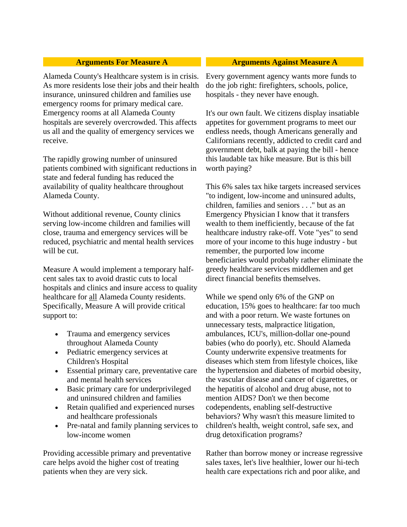Alameda County's Healthcare system is in crisis. As more residents lose their jobs and their health insurance, uninsured children and families use emergency rooms for primary medical care. Emergency rooms at all Alameda County hospitals are severely overcrowded. This affects us all and the quality of emergency services we receive.

The rapidly growing number of uninsured patients combined with significant reductions in state and federal funding has reduced the availability of quality healthcare throughout Alameda County.

Without additional revenue, County clinics serving low-income children and families will close, trauma and emergency services will be reduced, psychiatric and mental health services will be cut.

Measure A would implement a temporary halfcent sales tax to avoid drastic cuts to local hospitals and clinics and insure access to quality healthcare for all Alameda County residents. Specifically, Measure A will provide critical support to:

- Trauma and emergency services throughout Alameda County
- Pediatric emergency services at Children's Hospital
- Essential primary care, preventative care and mental health services
- Basic primary care for underprivileged and uninsured children and families
- Retain qualified and experienced nurses and healthcare professionals
- Pre-natal and family planning services to low-income women

Providing accessible primary and preventative care helps avoid the higher cost of treating patients when they are very sick.

# **Arguments For Measure A Arguments Against Measure A**

Every government agency wants more funds to do the job right: firefighters, schools, police, hospitals - they never have enough.

It's our own fault. We citizens display insatiable appetites for government programs to meet our endless needs, though Americans generally and Californians recently, addicted to credit card and government debt, balk at paying the bill - hence this laudable tax hike measure. But is this bill worth paying?

This 6% sales tax hike targets increased services "to indigent, low-income and uninsured adults, children, families and seniors . . ." but as an Emergency Physician I know that it transfers wealth to them inefficiently, because of the fat healthcare industry rake-off. Vote "yes" to send more of your income to this huge industry - but remember, the purported low income beneficiaries would probably rather eliminate the greedy healthcare services middlemen and get direct financial benefits themselves.

While we spend only 6% of the GNP on education, 15% goes to healthcare: far too much and with a poor return. We waste fortunes on unnecessary tests, malpractice litigation, ambulances, ICU's, million-dollar one-pound babies (who do poorly), etc. Should Alameda County underwrite expensive treatments for diseases which stem from lifestyle choices, like the hypertension and diabetes of morbid obesity, the vascular disease and cancer of cigarettes, or the hepatitis of alcohol and drug abuse, not to mention AIDS? Don't we then become codependents, enabling self-destructive behaviors? Why wasn't this measure limited to children's health, weight control, safe sex, and drug detoxification programs?

Rather than borrow money or increase regressive sales taxes, let's live healthier, lower our hi-tech health care expectations rich and poor alike, and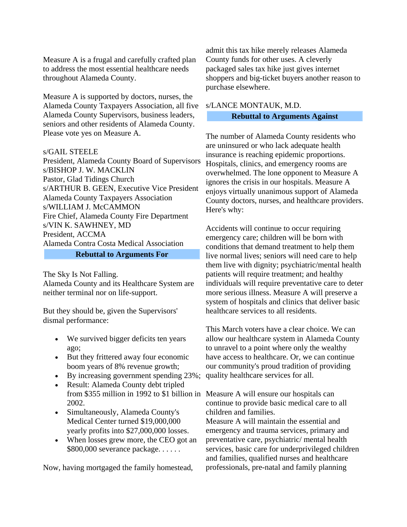Measure A is a frugal and carefully crafted plan to address the most essential healthcare needs throughout Alameda County.

Measure A is supported by doctors, nurses, the Alameda County Taxpayers Association, all five Alameda County Supervisors, business leaders, seniors and other residents of Alameda County. Please vote yes on Measure A.

#### s/GAIL STEELE

President, Alameda County Board of Supervisors s/BISHOP J. W. MACKLIN Pastor, Glad Tidings Church s/ARTHUR B. GEEN, Executive Vice President Alameda County Taxpayers Association s/WILLIAM J. McCAMMON Fire Chief, Alameda County Fire Department s/VIN K. SAWHNEY, MD President, ACCMA Alameda Contra Costa Medical Association

# **Rebuttal to Arguments For**

The Sky Is Not Falling. Alameda County and its Healthcare System are neither terminal nor on life-support.

But they should be, given the Supervisors' dismal performance:

- We survived bigger deficits ten years ago;
- But they frittered away four economic boom years of 8% revenue growth;
- By increasing government spending 23%;
- Result: Alameda County debt tripled from \$355 million in 1992 to \$1 billion in Measure A will ensure our hospitals can 2002.
- Simultaneously, Alameda County's Medical Center turned \$19,000,000 yearly profits into \$27,000,000 losses.
- When losses grew more, the CEO got an \$800,000 severance package. . . . . .

Now, having mortgaged the family homestead,

admit this tax hike merely releases Alameda County funds for other uses. A cleverly packaged sales tax hike just gives internet shoppers and big-ticket buyers another reason to purchase elsewhere.

# s/LANCE MONTAUK, M.D. **Rebuttal to Arguments Against**

The number of Alameda County residents who are uninsured or who lack adequate health insurance is reaching epidemic proportions. Hospitals, clinics, and emergency rooms are overwhelmed. The lone opponent to Measure A ignores the crisis in our hospitals. Measure A enjoys virtually unanimous support of Alameda County doctors, nurses, and healthcare providers. Here's why:

Accidents will continue to occur requiring emergency care; children will be born with conditions that demand treatment to help them live normal lives; seniors will need care to help them live with dignity; psychiatric/mental health patients will require treatment; and healthy individuals will require preventative care to deter more serious illness. Measure A will preserve a system of hospitals and clinics that deliver basic healthcare services to all residents.

This March voters have a clear choice. We can allow our healthcare system in Alameda County to unravel to a point where only the wealthy have access to healthcare. Or, we can continue our community's proud tradition of providing quality healthcare services for all.

continue to provide basic medical care to all children and families.

Measure A will maintain the essential and emergency and trauma services, primary and preventative care, psychiatric/ mental health services, basic care for underprivileged children and families, qualified nurses and healthcare professionals, pre-natal and family planning